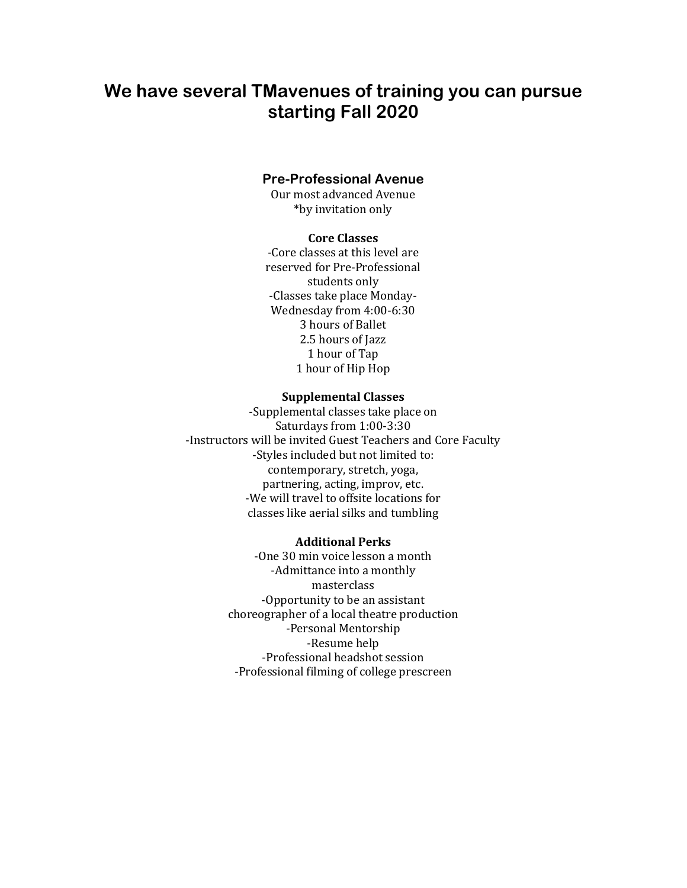# **We have several TMavenues of training you can pursue starting Fall 2020**

# **Pre-Professional Avenue**

Our most advanced Avenue \*by invitation only

# **Core Classes**

-Core classes at this level are reserved for Pre-Professional students only -Classes take place Monday-Wednesday from 4:00-6:30 3 hours of Ballet 2.5 hours of Jazz 1 hour of Tap 1 hour of Hip Hop

# **Supplemental Classes**

-Supplemental classes take place on Saturdays from 1:00-3:30 -Instructors will be invited Guest Teachers and Core Faculty -Styles included but not limited to: contemporary, stretch, yoga, partnering, acting, improv, etc. -We will travel to offsite locations for classes like aerial silks and tumbling

#### **Additional Perks**

-One 30 min voice lesson a month -Admittance into a monthly masterclass -Opportunity to be an assistant choreographer of a local theatre production -Personal Mentorship -Resume help -Professional headshot session -Professional filming of college prescreen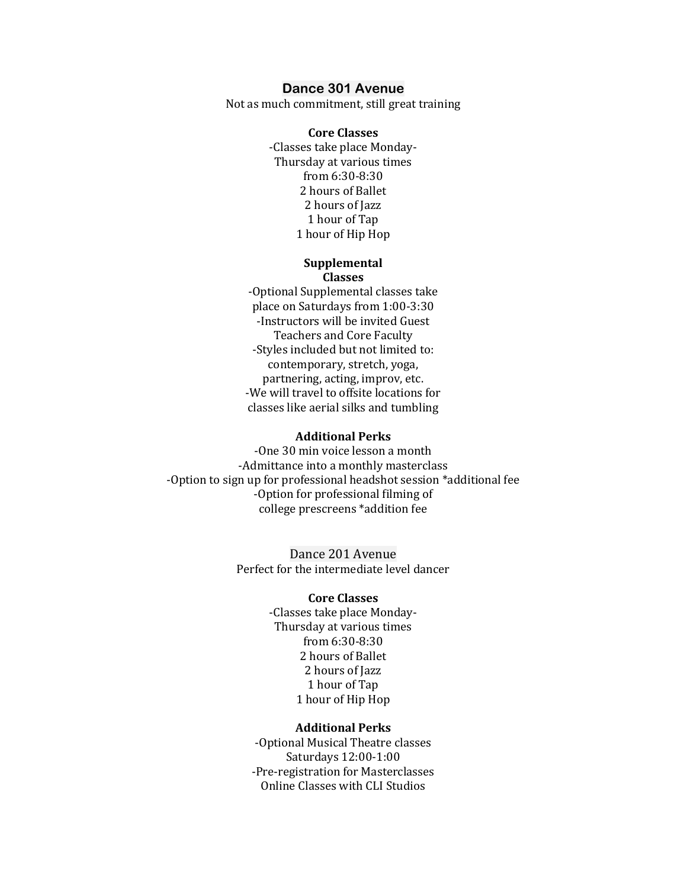# **Dance 301 Avenue**

Not as much commitment, still great training

#### **Core Classes**

-Classes take place Monday-Thursday at various times from 6:30-8:30 2 hours of Ballet 2 hours of Jazz 1 hour of Tap 1 hour of Hip Hop

#### **Supplemental Classes**

-Optional Supplemental classes take place on Saturdays from 1:00-3:30 -Instructors will be invited Guest Teachers and Core Faculty -Styles included but not limited to: contemporary, stretch, yoga, partnering, acting, improv, etc. -We will travel to offsite locations for classes like aerial silks and tumbling

#### **Additional Perks**

-One 30 min voice lesson a month -Admittance into a monthly masterclass -Option to sign up for professional headshot session \*additional fee -Option for professional filming of college prescreens \*addition fee

> Dance 201 Avenue Perfect for the intermediate level dancer

# **Core Classes**

-Classes take place Monday-Thursday at various times from 6:30-8:30 2 hours of Ballet 2 hours of Jazz 1 hour of Tap 1 hour of Hip Hop

#### **Additional Perks**

-Optional Musical Theatre classes Saturdays 12:00-1:00 -Pre-registration for Masterclasses Online Classes with CLI Studios